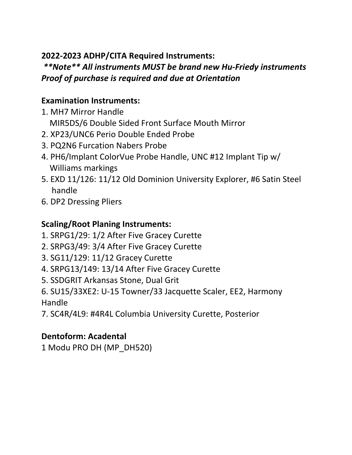#### **2022-2023 ADHP/CITA Required Instruments:**

# *\*\*Note\*\* All instruments MUST be brand new Hu-Friedy instruments Proof of purchase is required and due at Orientation*

### **Examination Instruments:**

- 1. MH7 Mirror Handle
	- MIR5DS/6 Double Sided Front Surface Mouth Mirror
- 2. XP23/UNC6 Perio Double Ended Probe
- 3. PQ2N6 Furcation Nabers Probe
- 4. PH6/Implant ColorVue Probe Handle, UNC #12 Implant Tip w/ Williams markings
- 5. EXD 11/126: 11/12 Old Dominion University Explorer, #6 Satin Steel handle
- 6. DP2 Dressing Pliers

# **Scaling/Root Planing Instruments:**

- 1. SRPG1/29: 1/2 After Five Gracey Curette
- 2. SRPG3/49: 3/4 After Five Gracey Curette
- 3. SG11/129: 11/12 Gracey Curette
- 4. SRPG13/149: 13/14 After Five Gracey Curette
- 5. SSDGRIT Arkansas Stone, Dual Grit
- 6. SU15/33XE2: U-15 Towner/33 Jacquette Scaler, EE2, Harmony Handle
- 7. SC4R/4L9: #4R4L Columbia University Curette, Posterior

#### **Dentoform: Acadental**

1 Modu PRO DH (MP\_DH520)